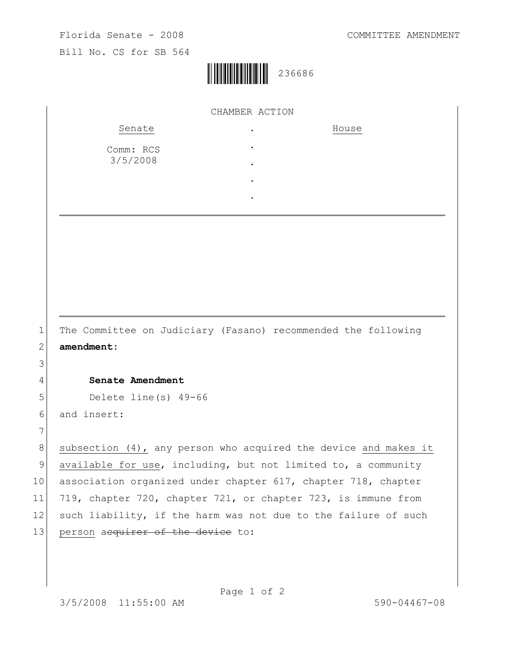

|          | CHAMBER ACTION                                                  |  |
|----------|-----------------------------------------------------------------|--|
|          | Senate<br>House                                                 |  |
|          | Comm: RCS                                                       |  |
|          | 3/5/2008                                                        |  |
|          |                                                                 |  |
|          |                                                                 |  |
|          |                                                                 |  |
|          |                                                                 |  |
|          |                                                                 |  |
|          |                                                                 |  |
|          |                                                                 |  |
|          |                                                                 |  |
|          |                                                                 |  |
|          | The Committee on Judiciary (Fasano) recommended the following   |  |
|          | amendment:                                                      |  |
|          |                                                                 |  |
|          | Senate Amendment                                                |  |
|          | Delete line(s) 49-66                                            |  |
|          | and insert:                                                     |  |
|          |                                                                 |  |
|          | subsection (4), any person who acquired the device and makes it |  |
|          | available for use, including, but not limited to, a community   |  |
|          |                                                                 |  |
|          | association organized under chapter 617, chapter 718, chapter   |  |
|          | 719, chapter 720, chapter 721, or chapter 723, is immune from   |  |
|          | such liability, if the harm was not due to the failure of such  |  |
| 10<br>13 | person acquirer of the device to:                               |  |
|          |                                                                 |  |